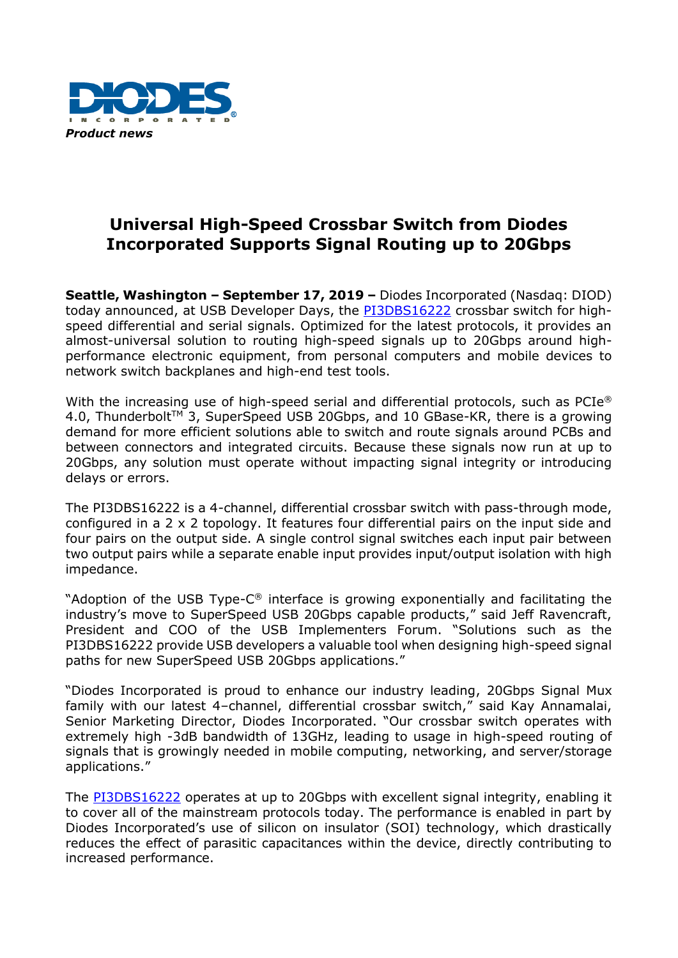

## **Universal High-Speed Crossbar Switch from Diodes Incorporated Supports Signal Routing up to 20Gbps**

**Seattle, Washington – September 17, 2019 –** Diodes Incorporated (Nasdaq: DIOD) today announced, at USB Developer Days, the [PI3DBS16222](https://www.diodes.com/part/PI3DBS16222) crossbar switch for highspeed differential and serial signals. Optimized for the latest protocols, it provides an almost-universal solution to routing high-speed signals up to 20Gbps around highperformance electronic equipment, from personal computers and mobile devices to network switch backplanes and high-end test tools.

With the increasing use of high-speed serial and differential protocols, such as  $PCIe^{\circledast}$ 4.0, Thunderbolt™ 3, SuperSpeed USB 20Gbps, and 10 GBase-KR, there is a growing demand for more efficient solutions able to switch and route signals around PCBs and between connectors and integrated circuits. Because these signals now run at up to 20Gbps, any solution must operate without impacting signal integrity or introducing delays or errors.

The PI3DBS16222 is a 4-channel, differential crossbar switch with pass-through mode, configured in a 2 x 2 topology. It features four differential pairs on the input side and four pairs on the output side. A single control signal switches each input pair between two output pairs while a separate enable input provides input/output isolation with high impedance.

"Adoption of the USB Type-C ® interface is growing exponentially and facilitating the industry's move to SuperSpeed USB 20Gbps capable products," said Jeff Ravencraft, President and COO of the USB Implementers Forum. "Solutions such as the PI3DBS16222 provide USB developers a valuable tool when designing high-speed signal paths for new SuperSpeed USB 20Gbps applications."

"Diodes Incorporated is proud to enhance our industry leading, 20Gbps Signal Mux family with our latest 4–channel, differential crossbar switch," said Kay Annamalai, Senior Marketing Director, Diodes Incorporated. "Our crossbar switch operates with extremely high -3dB bandwidth of 13GHz, leading to usage in high-speed routing of signals that is growingly needed in mobile computing, networking, and server/storage applications."

The [PI3DBS16222](https://www.diodes.com/part/PI3DBS16222) operates at up to 20Gbps with excellent signal integrity, enabling it to cover all of the mainstream protocols today. The performance is enabled in part by Diodes Incorporated's use of silicon on insulator (SOI) technology, which drastically reduces the effect of parasitic capacitances within the device, directly contributing to increased performance.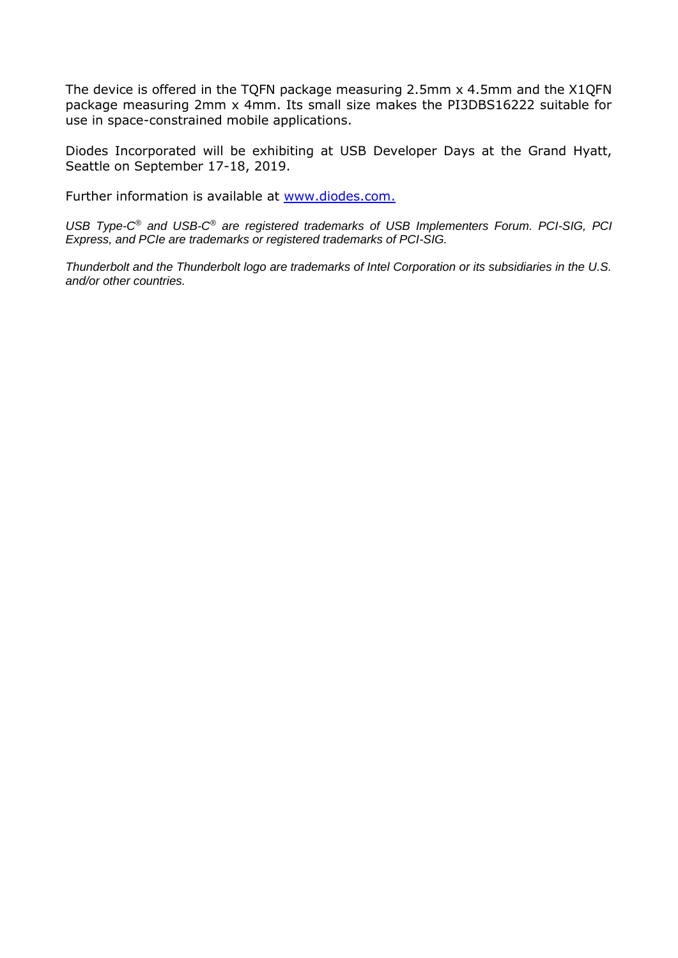The device is offered in the TQFN package measuring 2.5mm x 4.5mm and the X1QFN package measuring 2mm x 4mm. Its small size makes the PI3DBS16222 suitable for use in space-constrained mobile applications.

Diodes Incorporated will be exhibiting at USB Developer Days at the Grand Hyatt, Seattle on September 17-18, 2019.

Further information is available at [www.diodes.com.](http://www.diodes.com/)

*USB Type-C ® and USB-C ® are registered trademarks of USB Implementers Forum. PCI-SIG, PCI Express, and PCIe are trademarks or registered trademarks of PCI-SIG.*

*Thunderbolt and the Thunderbolt logo are trademarks of Intel Corporation or its subsidiaries in the U.S. and/or other countries.*